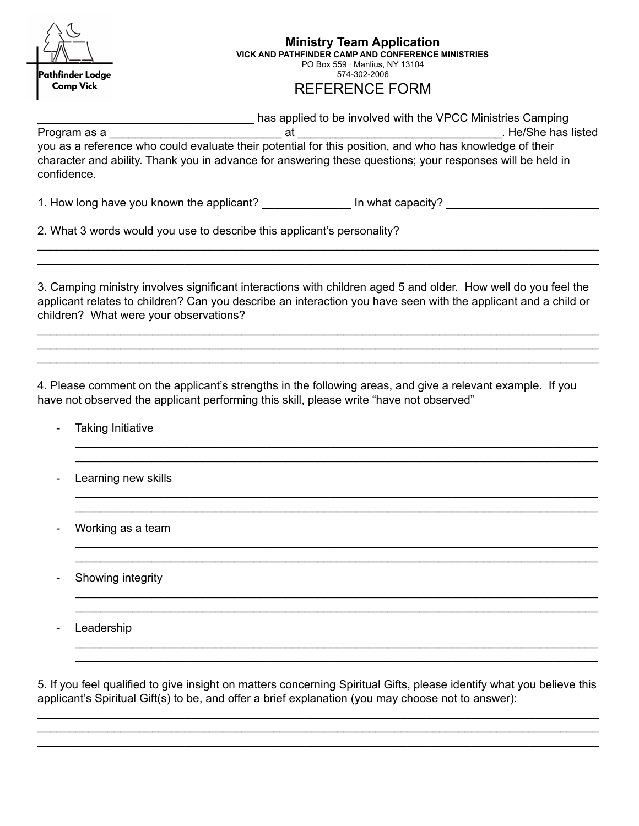| Pathfinder Lodge<br><b>Camp Vick</b>   | <b>Ministry Team Application</b><br>VICK AND PATHFINDER CAMP AND CONFERENCE MINISTRIES<br>PO Box 559 $\cdot$ Manlius, NY 13104<br>574-302-2006<br><b>REFERENCE FORM</b>                                                                                                                                         |
|----------------------------------------|-----------------------------------------------------------------------------------------------------------------------------------------------------------------------------------------------------------------------------------------------------------------------------------------------------------------|
| Program as a<br>confidence.            | has applied to be involved with the VPCC Ministries Camping<br>Let She has listed<br>at<br>you as a reference who could evaluate their potential for this position, and who has knowledge of their<br>character and ability. Thank you in advance for answering these questions; your responses will be held in |
|                                        | 1. How long have you known the applicant? ________________ In what capacity? ________<br>2. What 3 words would you use to describe this applicant's personality?                                                                                                                                                |
| children? What were your observations? | 3. Camping ministry involves significant interactions with children aged 5 and older. How well do you feel the<br>applicant relates to children? Can you describe an interaction you have seen with the applicant and a child or                                                                                |
| <b>Taking Initiative</b>               | 4. Please comment on the applicant's strengths in the following areas, and give a relevant example. If you<br>have not observed the applicant performing this skill, please write "have not observed"                                                                                                           |

- Learning new skills \_\_\_\_\_\_\_\_\_\_\_\_\_\_\_\_\_\_\_\_\_\_\_\_\_\_\_\_\_\_\_\_\_\_\_\_\_\_\_\_\_\_\_\_\_\_\_\_\_\_\_\_\_\_\_\_\_\_\_\_\_\_\_\_\_\_\_\_\_\_\_\_\_\_\_\_\_\_\_\_\_\_

- Working as a team

- Showing integrity

- Leadership

5. If you feel qualified to give insight on matters concerning Spiritual Gifts, please identify what you believe this applicant's Spiritual Gift(s) to be, and offer a brief explanation (you may choose not to answer):

\_\_\_\_\_\_\_\_\_\_\_\_\_\_\_\_\_\_\_\_\_\_\_\_\_\_\_\_\_\_\_\_\_\_\_\_\_\_\_\_\_\_\_\_\_\_\_\_\_\_\_\_\_\_\_\_\_\_\_\_\_\_\_\_\_\_\_\_\_\_\_\_\_\_\_\_\_\_\_\_\_\_\_\_\_\_\_\_ \_\_\_\_\_\_\_\_\_\_\_\_\_\_\_\_\_\_\_\_\_\_\_\_\_\_\_\_\_\_\_\_\_\_\_\_\_\_\_\_\_\_\_\_\_\_\_\_\_\_\_\_\_\_\_\_\_\_\_\_\_\_\_\_\_\_\_\_\_\_\_\_\_\_\_\_\_\_\_\_\_\_\_\_\_\_\_\_ \_\_\_\_\_\_\_\_\_\_\_\_\_\_\_\_\_\_\_\_\_\_\_\_\_\_\_\_\_\_\_\_\_\_\_\_\_\_\_\_\_\_\_\_\_\_\_\_\_\_\_\_\_\_\_\_\_\_\_\_\_\_\_\_\_\_\_\_\_\_\_\_\_\_\_\_\_\_\_\_\_\_\_\_\_\_\_\_

\_\_\_\_\_\_\_\_\_\_\_\_\_\_\_\_\_\_\_\_\_\_\_\_\_\_\_\_\_\_\_\_\_\_\_\_\_\_\_\_\_\_\_\_\_\_\_\_\_\_\_\_\_\_\_\_\_\_\_\_\_\_\_\_\_\_\_\_\_\_\_\_\_\_\_\_\_\_\_\_\_\_

\_\_\_\_\_\_\_\_\_\_\_\_\_\_\_\_\_\_\_\_\_\_\_\_\_\_\_\_\_\_\_\_\_\_\_\_\_\_\_\_\_\_\_\_\_\_\_\_\_\_\_\_\_\_\_\_\_\_\_\_\_\_\_\_\_\_\_\_\_\_\_\_\_\_\_\_\_\_\_\_\_\_ \_\_\_\_\_\_\_\_\_\_\_\_\_\_\_\_\_\_\_\_\_\_\_\_\_\_\_\_\_\_\_\_\_\_\_\_\_\_\_\_\_\_\_\_\_\_\_\_\_\_\_\_\_\_\_\_\_\_\_\_\_\_\_\_\_\_\_\_\_\_\_\_\_\_\_\_\_\_\_\_\_\_

\_\_\_\_\_\_\_\_\_\_\_\_\_\_\_\_\_\_\_\_\_\_\_\_\_\_\_\_\_\_\_\_\_\_\_\_\_\_\_\_\_\_\_\_\_\_\_\_\_\_\_\_\_\_\_\_\_\_\_\_\_\_\_\_\_\_\_\_\_\_\_\_\_\_\_\_\_\_\_\_\_\_ \_\_\_\_\_\_\_\_\_\_\_\_\_\_\_\_\_\_\_\_\_\_\_\_\_\_\_\_\_\_\_\_\_\_\_\_\_\_\_\_\_\_\_\_\_\_\_\_\_\_\_\_\_\_\_\_\_\_\_\_\_\_\_\_\_\_\_\_\_\_\_\_\_\_\_\_\_\_\_\_\_\_

\_\_\_\_\_\_\_\_\_\_\_\_\_\_\_\_\_\_\_\_\_\_\_\_\_\_\_\_\_\_\_\_\_\_\_\_\_\_\_\_\_\_\_\_\_\_\_\_\_\_\_\_\_\_\_\_\_\_\_\_\_\_\_\_\_\_\_\_\_\_\_\_\_\_\_\_\_\_\_\_\_\_ \_\_\_\_\_\_\_\_\_\_\_\_\_\_\_\_\_\_\_\_\_\_\_\_\_\_\_\_\_\_\_\_\_\_\_\_\_\_\_\_\_\_\_\_\_\_\_\_\_\_\_\_\_\_\_\_\_\_\_\_\_\_\_\_\_\_\_\_\_\_\_\_\_\_\_\_\_\_\_\_\_\_